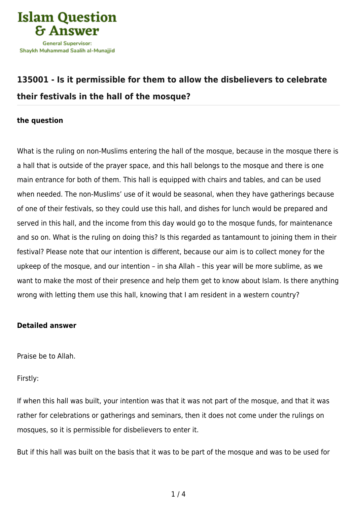

# **[135001 - Is it permissible for them to allow the disbelievers to celebrate](https://islamqa.com/en/answers/135001/is-it-permissible-for-them-to-allow-the-disbelievers-to-celebrate-their-festivals-in-the-hall-of-the-mosque) [their festivals in the hall of the mosque?](https://islamqa.com/en/answers/135001/is-it-permissible-for-them-to-allow-the-disbelievers-to-celebrate-their-festivals-in-the-hall-of-the-mosque)**

## **the question**

What is the ruling on non-Muslims entering the hall of the mosque, because in the mosque there is a hall that is outside of the prayer space, and this hall belongs to the mosque and there is one main entrance for both of them. This hall is equipped with chairs and tables, and can be used when needed. The non-Muslims' use of it would be seasonal, when they have gatherings because of one of their festivals, so they could use this hall, and dishes for lunch would be prepared and served in this hall, and the income from this day would go to the mosque funds, for maintenance and so on. What is the ruling on doing this? Is this regarded as tantamount to joining them in their festival? Please note that our intention is different, because our aim is to collect money for the upkeep of the mosque, and our intention – in sha Allah – this year will be more sublime, as we want to make the most of their presence and help them get to know about Islam. Is there anything wrong with letting them use this hall, knowing that I am resident in a western country?

# **Detailed answer**

Praise be to Allah.

Firstly:

If when this hall was built, your intention was that it was not part of the mosque, and that it was rather for celebrations or gatherings and seminars, then it does not come under the rulings on mosques, so it is permissible for disbelievers to enter it.

But if this hall was built on the basis that it was to be part of the mosque and was to be used for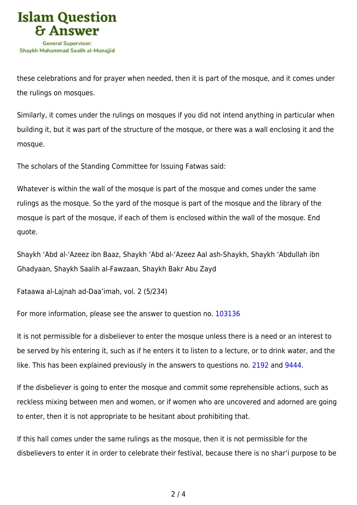

these celebrations and for prayer when needed, then it is part of the mosque, and it comes under the rulings on mosques.

Similarly, it comes under the rulings on mosques if you did not intend anything in particular when building it, but it was part of the structure of the mosque, or there was a wall enclosing it and the mosque.

The scholars of the Standing Committee for Issuing Fatwas said:

Whatever is within the wall of the mosque is part of the mosque and comes under the same rulings as the mosque. So the yard of the mosque is part of the mosque and the library of the mosque is part of the mosque, if each of them is enclosed within the wall of the mosque. End quote.

Shaykh 'Abd al-'Azeez ibn Baaz, Shaykh 'Abd al-'Azeez Aal ash-Shaykh, Shaykh 'Abdullah ibn Ghadyaan, Shaykh Saalih al-Fawzaan, Shaykh Bakr Abu Zayd

Fataawa al-Lajnah ad-Daa'imah, vol. 2 (5/234)

For more information, please see the answer to question no. [103136](https://islamqa.com/ar/answers/)

It is not permissible for a disbeliever to enter the mosque unless there is a need or an interest to be served by his entering it, such as if he enters it to listen to a lecture, or to drink water, and the like. This has been explained previously in the answers to questions no. [2192](https://islamqa.com/en/answers/2192) and [9444.](https://islamqa.com/en/answers/9444)

If the disbeliever is going to enter the mosque and commit some reprehensible actions, such as reckless mixing between men and women, or if women who are uncovered and adorned are going to enter, then it is not appropriate to be hesitant about prohibiting that.

If this hall comes under the same rulings as the mosque, then it is not permissible for the disbelievers to enter it in order to celebrate their festival, because there is no shar'i purpose to be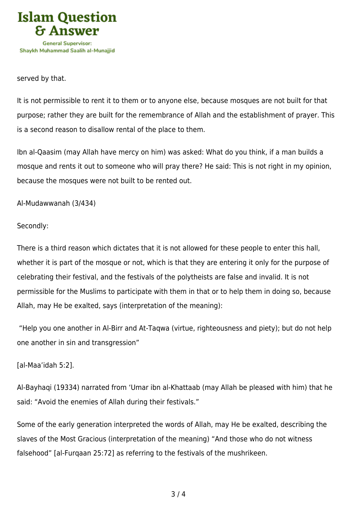

#### served by that.

It is not permissible to rent it to them or to anyone else, because mosques are not built for that purpose; rather they are built for the remembrance of Allah and the establishment of prayer. This is a second reason to disallow rental of the place to them.

Ibn al-Qaasim (may Allah have mercy on him) was asked: What do you think, if a man builds a mosque and rents it out to someone who will pray there? He said: This is not right in my opinion, because the mosques were not built to be rented out.

## Al-Mudawwanah (3/434)

## Secondly:

There is a third reason which dictates that it is not allowed for these people to enter this hall, whether it is part of the mosque or not, which is that they are entering it only for the purpose of celebrating their festival, and the festivals of the polytheists are false and invalid. It is not permissible for the Muslims to participate with them in that or to help them in doing so, because Allah, may He be exalted, says (interpretation of the meaning):

 "Help you one another in Al‑Birr and At‑Taqwa (virtue, righteousness and piety); but do not help one another in sin and transgression"

# [al-Maa'idah 5:2].

Al-Bayhaqi (19334) narrated from 'Umar ibn al-Khattaab (may Allah be pleased with him) that he said: "Avoid the enemies of Allah during their festivals."

Some of the early generation interpreted the words of Allah, may He be exalted, describing the slaves of the Most Gracious (interpretation of the meaning) "And those who do not witness falsehood" [al-Furqaan 25:72] as referring to the festivals of the mushrikeen.